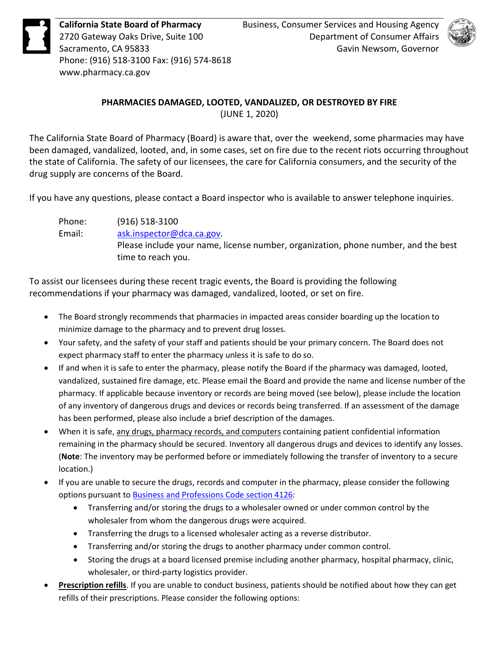**California State Board of Pharmacy** Business, Consumer Services and Housing Agency<br>2720 Gateway Oaks Drive, Suite 100 Department of Consumer Affairs<br>Sacramento, CA 95833 Gavin Newsom, Governor<br>Phone: (916) 518-3100 Fax: ( Phone: (916) 518-3100 Fax: (916) 574-8618 <www.pharmacy.ca.gov>



## **PHARMACIES DAMAGED, LOOTED, VANDALIZED, OR DESTROYED BY FIRE**  (JUNE 1, 2020)

 The California State Board of Pharmacy (Board) is aware that, over the weekend, some pharmacies may have been damaged, vandalized, looted, and, in some cases, set on fire due to the recent riots occurring throughout the state of California. The safety of our licensees, the care for California consumers, and the security of the drug supply are concerns of the Board.

drug supply are concerns of the Board.<br>If you have any questions, please contact a Board inspector who is available to answer telephone inquiries.

Phone: (916) 518-3100 Email: [ask.inspector@dca.ca.gov.](mailto:ask.inspector@dca.ca.gov) Please include your name, license number, organization, phone number, and the best time to reach you.

 To assist our licensees during these recent tragic events, the Board is providing the following recommendations if your pharmacy was damaged, vandalized, looted, or set on fire.

- The Board strongly recommends that pharmacies in impacted areas consider boarding up the location to minimize damage to the pharmacy and to prevent drug losses.
- expect pharmacy staff to enter the pharmacy unless it is safe to do so. • Your safety, and the safety of your staff and patients should be your primary concern. The Board does not
- • If and when it is safe to enter the pharmacy, please notify the Board if the pharmacy was damaged, looted, has been performed, please also include a brief description of the damages. vandalized, sustained fire damage, etc. Please email the Board and provide the name and license number of the pharmacy. If applicable because inventory or records are being moved (see below), please include the location of any inventory of dangerous drugs and devices or records being transferred. If an assessment of the damage
- When it is safe, any drugs, pharmacy records, and computers containing patient confidential information remaining in the pharmacy should be secured. Inventory all dangerous drugs and devices to identify any losses. (**Note**: The inventory may be performed before or immediately following the transfer of inventory to a secure location.)
- • If you are unable to secure the drugs, records and computer in the pharmacy, please consider the following options pursuant to [Business and Professions Code section 4126:](http://leginfo.legislature.ca.gov/faces/codes_displaySection.xhtml?sectionNum=4126&lawCode=BPC)
	- • Transferring and/or storing the drugs to a wholesaler owned or under common control by the wholesaler from whom the dangerous drugs were acquired.
	- Transferring the drugs to a licensed wholesaler acting as a reverse distributor.
	- Transferring and/or storing the drugs to another pharmacy under common control.
	- • Storing the drugs at a board licensed premise including another pharmacy, hospital pharmacy, clinic, wholesaler, or third-party logistics provider.
- • **Prescription refills**. If you are unable to conduct business, patients should be notified about how they can get refills of their prescriptions. Please consider the following options: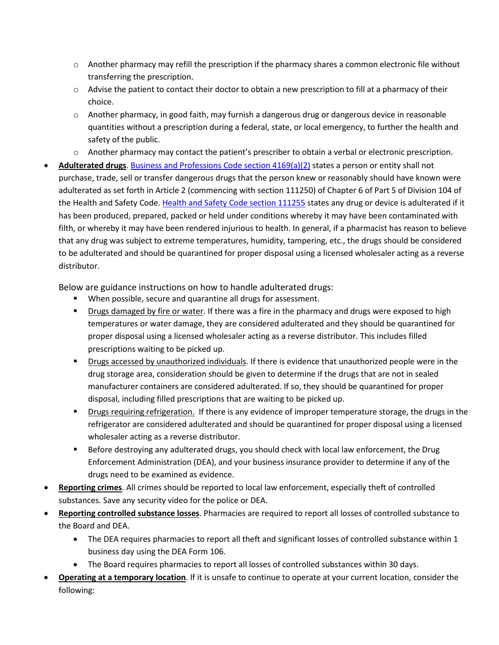- $\circ$  Another pharmacy may refill the prescription if the pharmacy shares a common electronic file without transferring the prescription.
- choice.  $\circ$  Advise the patient to contact their doctor to obtain a new prescription to fill at a pharmacy of their
- safety of the public.  $\circ$  Another pharmacy, in good faith, may furnish a dangerous drug or dangerous device in reasonable quantities without a prescription during a federal, state, or local emergency, to further the health and
- o Another pharmacy may contact the patient's prescriber to obtain a verbal or electronic prescription.
- • **Adulterated drugs**. [Business and Professions Code section 4169\(a\)\(2\)](http://leginfo.legislature.ca.gov/faces/codes_displaySection.xhtml?sectionNum=4169.&lawCode=BPC) states a person or entity shall not adulterated as set forth in Article 2 (commencing with section 111250) of Chapter 6 of Part 5 of Division 104 of the Health and Safety Code. [Health and Safety Code section 111255](http://leginfo.legislature.ca.gov/faces/codes_displaySection.xhtml?sectionNum=111255.&lawCode=HSC) states any drug or device is adulterated if it filth, or whereby it may have been rendered injurious to health. In general, if a pharmacist has reason to believe purchase, trade, sell or transfer dangerous drugs that the person knew or reasonably should have known were has been produced, prepared, packed or held under conditions whereby it may have been contaminated with that any drug was subject to extreme temperatures, humidity, tampering, etc., the drugs should be considered to be adulterated and should be quarantined for proper disposal using a licensed wholesaler acting as a reverse distributor.

Below are guidance instructions on how to handle adulterated drugs:

- When possible, secure and quarantine all drugs for assessment.
- **Drugs damaged by fire or water**. If there was a fire in the pharmacy and drugs were exposed to high prescriptions waiting to be picked up. temperatures or water damage, they are considered adulterated and they should be quarantined for proper disposal using a licensed wholesaler acting as a reverse distributor. This includes filled
- **Drugs accessed by unauthorized individuals**. If there is evidence that unauthorized people were in the disposal, including filled prescriptions that are waiting to be picked up. drug storage area, consideration should be given to determine if the drugs that are not in sealed manufacturer containers are considered adulterated. If so, they should be quarantined for proper
- **Phiam 2** Drugs requiring refrigeration. If there is any evidence of improper temperature storage, the drugs in the wholesaler acting as a reverse distributor. refrigerator are considered adulterated and should be quarantined for proper disposal using a licensed
- Enforcement Administration (DEA), and your business insurance provider to determine if any of the drugs need to be examined as evidence. **Before destroying any adulterated drugs, you should check with local law enforcement, the Drug**
- • **Reporting crimes**. All crimes should be reported to local law enforcement, especially theft of controlled substances. Save any security video for the police or DEA.
- • **Reporting controlled substance losses**. Pharmacies are required to report all losses of controlled substance to the Board and DEA.
	- • The DEA requires pharmacies to report all theft and significant losses of controlled substance within 1 business day using the DEA Form 106.
	- The Board requires pharmacies to report all losses of controlled substances within 30 days.
- • **Operating at a temporary location**. If it is unsafe to continue to operate at your current location, consider the following: